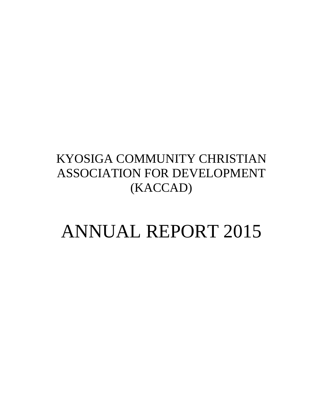## KYOSIGA COMMUNITY CHRISTIAN ASSOCIATION FOR DEVELOPMENT (KACCAD)

# ANNUAL REPORT 2015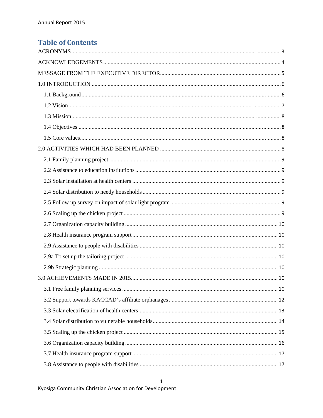### **Table of Contents**

 $\mathbf 1$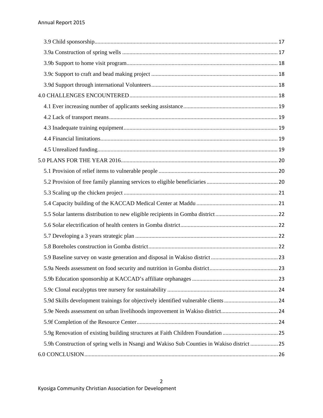| 5.9h Construction of spring wells in Nsangi and Wakiso Sub Counties in Wakiso district  25 |  |
|--------------------------------------------------------------------------------------------|--|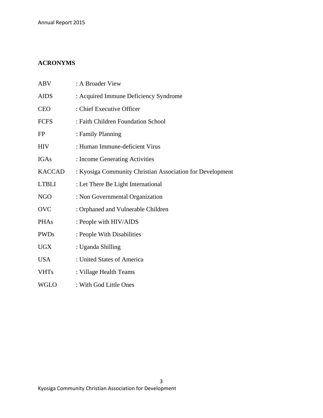#### **ACRONYMS**

| <b>ABV</b>    | : A Broader View                                          |
|---------------|-----------------------------------------------------------|
| <b>AIDS</b>   | : Acquired Immune Deficiency Syndrome                     |
| <b>CEO</b>    | : Chief Executive Officer                                 |
| <b>FCFS</b>   | : Faith Children Foundation School                        |
| <b>FP</b>     | : Family Planning                                         |
| <b>HIV</b>    | : Human Immune-deficient Virus                            |
| <b>IGAs</b>   | : Income Generating Activities                            |
| <b>KACCAD</b> | : Kyosiga Community Christian Association for Development |
| <b>LTBLI</b>  | : Let There Be Light International                        |
| <b>NGO</b>    | : Non Governmental Organization                           |
| <b>OVC</b>    | : Orphaned and Vulnerable Children                        |
| <b>PHAs</b>   | : People with HIV/AIDS                                    |
| <b>PWDs</b>   | : People With Disabilities                                |
| <b>UGX</b>    | : Uganda Shilling                                         |
| <b>USA</b>    | : United States of America                                |
| <b>VHTs</b>   | : Village Health Teams                                    |
| <b>WGLO</b>   | : With God Little Ones                                    |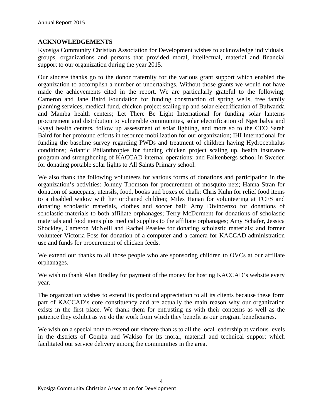#### **ACKNOWLEDGEMENTS**

Kyosiga Community Christian Association for Development wishes to acknowledge individuals, groups, organizations and persons that provided moral, intellectual, material and financial support to our organization during the year 2015.

Our sincere thanks go to the donor fraternity for the various grant support which enabled the organization to accomplish a number of undertakings. Without those grants we would not have made the achievements cited in the report. We are particularly grateful to the following: Cameron and Jane Baird Foundation for funding construction of spring wells, free family planning services, medical fund, chicken project scaling up and solar electrification of Bulwadda and Mamba health centers; Let There Be Light International for funding solar lanterns procurement and distribution to vulnerable communities, solar electrification of Ngeribalya and Kyayi health centers, follow up assessment of solar lighting, and more so to the CEO Sarah Baird for her profound efforts in resource mobilization for our organization; IHI International for funding the baseline survey regarding PWDs and treatment of children having Hydrocephalus conditions; Atlantic Philanthropies for funding chicken project scaling up, health insurance program and strengthening of KACCAD internal operations; and Falkenbergs school in Sweden for donating portable solar lights to All Saints Primary school.

We also thank the following volunteers for various forms of donations and participation in the organization's activities: Johnny Thomson for procurement of mosquito nets; Hanna Stran for donation of saucepans, utensils, food, books and boxes of chalk; Chris Kuhn for relief food items to a disabled widow with her orphaned children; Miles Hanan for volunteering at FCFS and donating scholastic materials, clothes and soccer ball; Amy Divincenzo for donations of scholastic materials to both affiliate orphanages; Terry McDerment for donations of scholastic materials and food items plus medical supplies to the affiliate orphanages; Amy Schafer, Jessica Shockley, Cameron McNeill and Rachel Peaslee for donating scholastic materials; and former volunteer Victoria Foss for donation of a computer and a camera for KACCAD administration use and funds for procurement of chicken feeds.

We extend our thanks to all those people who are sponsoring children to OVCs at our affiliate orphanages.

We wish to thank Alan Bradley for payment of the money for hosting KACCAD's website every year.

The organization wishes to extend its profound appreciation to all its clients because these form part of KACCAD's core constituency and are actually the main reason why our organization exists in the first place. We thank them for entrusting us with their concerns as well as the patience they exhibit as we do the work from which they benefit as our program beneficiaries.

We wish on a special note to extend our sincere thanks to all the local leadership at various levels in the districts of Gomba and Wakiso for its moral, material and technical support which facilitated our service delivery among the communities in the area.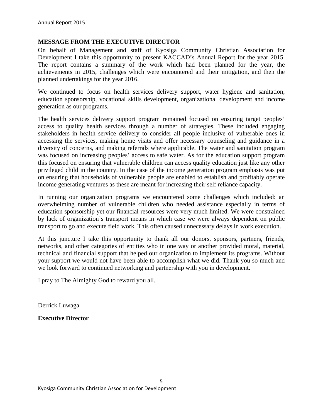#### **MESSAGE FROM THE EXECUTIVE DIRECTOR**

On behalf of Management and staff of Kyosiga Community Christian Association for Development I take this opportunity to present KACCAD's Annual Report for the year 2015. The report contains a summary of the work which had been planned for the year, the achievements in 2015, challenges which were encountered and their mitigation, and then the planned undertakings for the year 2016.

We continued to focus on health services delivery support, water hygiene and sanitation, education sponsorship, vocational skills development, organizational development and income generation as our programs.

The health services delivery support program remained focused on ensuring target peoples' access to quality health services through a number of strategies. These included engaging stakeholders in health service delivery to consider all people inclusive of vulnerable ones in accessing the services, making home visits and offer necessary counseling and guidance in a diversity of concerns, and making referrals where applicable. The water and sanitation program was focused on increasing peoples' access to safe water. As for the education support program this focused on ensuring that vulnerable children can access quality education just like any other privileged child in the country. In the case of the income generation program emphasis was put on ensuring that households of vulnerable people are enabled to establish and profitably operate income generating ventures as these are meant for increasing their self reliance capacity.

In running our organization programs we encountered some challenges which included: an overwhelming number of vulnerable children who needed assistance especially in terms of education sponsorship yet our financial resources were very much limited. We were constrained by lack of organization's transport means in which case we were always dependent on public transport to go and execute field work. This often caused unnecessary delays in work execution.

At this juncture I take this opportunity to thank all our donors, sponsors, partners, friends, networks, and other categories of entities who in one way or another provided moral, material, technical and financial support that helped our organization to implement its programs. Without your support we would not have been able to accomplish what we did. Thank you so much and we look forward to continued networking and partnership with you in development.

I pray to The Almighty God to reward you all.

Derrick Luwaga

**Executive Director**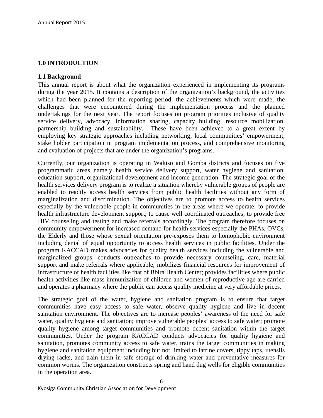#### **1.0 INTRODUCTION**

#### **1.1 Background**

This annual report is about what the organization experienced in implementing its programs during the year 2015. It contains a description of the organization's background, the activities which had been planned for the reporting period, the achievements which were made, the challenges that were encountered during the implementation process and the planned undertakings for the next year. The report focuses on program priorities inclusive of quality service delivery, advocacy, information sharing, capacity building, resource mobilization, partnership building and sustainability. These have been achieved to a great extent by employing key strategic approaches including networking, local communities' empowerment, stake holder participation in program implementation process, and comprehensive monitoring and evaluation of projects that are under the organization's programs.

Currently, our organization is operating in Wakiso and Gomba districts and focuses on five programmatic areas namely health service delivery support, water hygiene and sanitation, education support, organizational development and income generation. The strategic goal of the health services delivery program is to realize a situation whereby vulnerable groups of people are enabled to readily access health services from public health facilities without any form of marginalization and discrimination. The objectives are to promote access to health services especially by the vulnerable people in communities in the areas where we operate; to provide health infrastructure development support; to cause well coordinated outreaches; to provide free HIV counseling and testing and make referrals accordingly. The program therefore focuses on community empowerment for increased demand for health services especially the PHAs, OVCs, the Elderly and those whose sexual orientation pre-exposes them to homophobic environment including denial of equal opportunity to access health services in public facilities. Under the program KACCAD makes advocacies for quality health services including the vulnerable and marginalized groups; conducts outreaches to provide necessary counseling, care, material support and make referrals where applicable; mobilizes financial resources for improvement of infrastructure of health facilities like that of Bbira Health Center; provides facilities where public health activities like mass immunization of children and women of reproductive age are carried and operates a pharmacy where the public can access quality medicine at very affordable prices.

The strategic goal of the water, hygiene and sanitation program is to ensure that target communities have easy access to safe water, observe quality hygiene and live in decent sanitation environment. The objectives are to increase peoples' awareness of the need for safe water, quality hygiene and sanitation; improve vulnerable peoples' access to safe water; promote quality hygiene among target communities and promote decent sanitation within the target communities. Under the program KACCAD conducts advocacies for quality hygiene and sanitation, promotes community access to safe water, trains the target communities in making hygiene and sanitation equipment including but not limited to latrine covers, tippy taps, utensils drying racks, and train them in safe storage of drinking water and preventative measures for common worms. The organization constructs spring and hand dug wells for eligible communities in the operation area.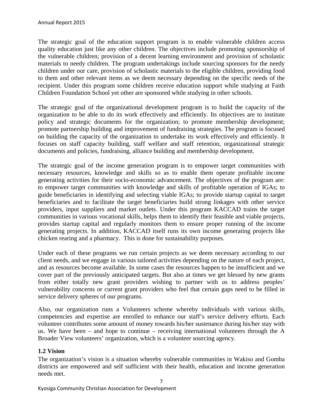The strategic goal of the education support program is to enable vulnerable children access quality education just like any other children. The objectives include promoting sponsorship of the vulnerable children; provision of a decent learning environment and provision of scholastic materials to needy children. The program undertakings include sourcing sponsors for the needy children under our care, provision of scholastic materials to the eligible children, providing food to them and other relevant items as we deem necessary depending on the specific needs of the recipient. Under this program some children receive education support while studying at Faith Children Foundation School yet other are sponsored while studying in other schools.

The strategic goal of the organizational development program is to build the capacity of the organization to be able to do its work effectively and efficiently. Its objectives are to institute policy and strategic documents for the organization; to promote membership development; promote partnership building and improvement of fundraising strategies. The program is focused on building the capacity of the organization to undertake its work effectively and efficiently. It focuses on staff capacity building, staff welfare and staff retention, organizational strategic documents and policies, fundraising, alliance building and membership development.

The strategic goal of the income generation program is to empower target communities with necessary resources, knowledge and skills so as to enable them operate profitable income generating activities for their socio-economic advancement. The objectives of the program are: to empower target communities with knowledge and skills of profitable operation of IGAs; to guide beneficiaries in identifying and selecting viable IGAs; to provide startup capital to target beneficiaries and to facilitate the target beneficiaries build strong linkages with other service providers, input suppliers and market outlets. Under this program KACCAD trains the target communities in various vocational skills, helps them to identify their feasible and viable projects, provides startup capital and regularly monitors them to ensure proper running of the income generating projects. In addition, KACCAD itself runs its own income generating projects like chicken rearing and a pharmacy. This is done for sustainability purposes.

Under each of these programs we run certain projects as we deem necessary according to our client needs, and we engage in various tailored activities depending on the nature of each project, and as resources become available. In some cases the resources happen to be insufficient and we cover part of the previously anticipated targets. But also at times we get blessed by new grants from either totally new grant providers wishing to partner with us to address peoples' vulnerability concerns or current grant providers who feel that certain gaps need to be filled in service delivery spheres of our programs.

Also, our organization runs a Volunteers scheme whereby individuals with various skills, competencies and expertise are enrolled to enhance our staff's service delivery efforts. Each volunteer contributes some amount of money towards his/her sustenance during his/her stay with us. We have been – and hope to continue – receiving international volunteers through the A Broader View volunteers' organization, which is a volunteer sourcing agency.

#### **1.2 Vision**

The organization's vision is a situation whereby vulnerable communities in Wakiso and Gomba districts are empowered and self sufficient with their health, education and income generation needs met.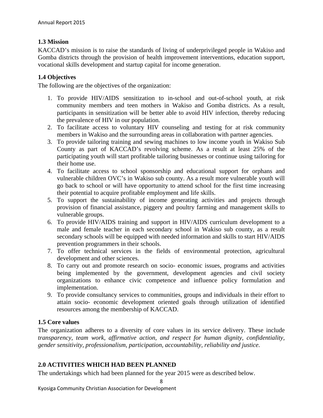#### **1.3 Mission**

KACCAD's mission is to raise the standards of living of underprivileged people in Wakiso and Gomba districts through the provision of health improvement interventions, education support, vocational skills development and startup capital for income generation.

#### **1.4 Objectives**

The following are the objectives of the organization:

- 1. To provide HIV/AIDS sensitization to in-school and out-of-school youth, at risk community members and teen mothers in Wakiso and Gomba districts. As a result, participants in sensitization will be better able to avoid HIV infection, thereby reducing the prevalence of HIV in our population.
- 2. To facilitate access to voluntary HIV counseling and testing for at risk community members in Wakiso and the surrounding areas in collaboration with partner agencies.
- 3. To provide tailoring training and sewing machines to low income youth in Wakiso Sub County as part of KACCAD's revolving scheme. As a result at least 25% of the participating youth will start profitable tailoring businesses or continue using tailoring for their home use.
- 4. To facilitate access to school sponsorship and educational support for orphans and vulnerable children OVC's in Wakiso sub county. As a result more vulnerable youth will go back to school or will have opportunity to attend school for the first time increasing their potential to acquire profitable employment and life skills.
- 5. To support the sustainability of income generating activities and projects through provision of financial assistance, piggery and poultry farming and management skills to vulnerable groups.
- 6. To provide HIV/AIDS training and support in HIV/AIDS curriculum development to a male and female teacher in each secondary school in Wakiso sub county, as a result secondary schools will be equipped with needed information and skills to start HIV/AIDS prevention programmers in their schools.
- 7. To offer technical services in the fields of environmental protection, agricultural development and other sciences.
- 8. To carry out and promote research on socio- economic issues, programs and activities being implemented by the government, development agencies and civil society organizations to enhance civic competence and influence policy formulation and implementation.
- 9. To provide consultancy services to communities, groups and individuals in their effort to attain socio- economic development oriented goals through utilization of identified resources among the membership of KACCAD.

#### **1.5 Core values**

The organization adheres to a diversity of core values in its service delivery. These include *transparency, team work, affirmative action, and respect for human dignity, confidentiality, gender sensitivity, professionalism, participation, accountability, reliability and justice.*

#### **2.0 ACTIVITIES WHICH HAD BEEN PLANNED**

The undertakings which had been planned for the year 2015 were as described below.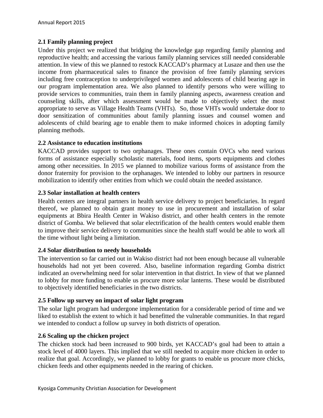#### **2.1 Family planning project**

Under this project we realized that bridging the knowledge gap regarding family planning and reproductive health; and accessing the various family planning services still needed considerable attention. In view of this we planned to restock KACCAD's pharmacy at Lusaze and then use the income from pharmaceutical sales to finance the provision of free family planning services including free contraception to underprivileged women and adolescents of child bearing age in our program implementation area. We also planned to identify persons who were willing to provide services to communities, train them in family planning aspects, awareness creation and counseling skills, after which assessment would be made to objectively select the most appropriate to serve as Village Health Teams (VHTs). So, those VHTs would undertake door to door sensitization of communities about family planning issues and counsel women and adolescents of child bearing age to enable them to make informed choices in adopting family planning methods.

#### **2.2 Assistance to education institutions**

KACCAD provides support to two orphanages. These ones contain OVCs who need various forms of assistance especially scholastic materials, food items, sports equipments and clothes among other necessities. In 2015 we planned to mobilize various forms of assistance from the donor fraternity for provision to the orphanages. We intended to lobby our partners in resource mobilization to identify other entities from which we could obtain the needed assistance.

#### **2.3 Solar installation at health centers**

Health centers are integral partners in health service delivery to project beneficiaries. In regard thereof, we planned to obtain grant money to use in procurement and installation of solar equipments at Bbira Health Center in Wakiso district, and other health centers in the remote district of Gomba. We believed that solar electrification of the health centers would enable them to improve their service delivery to communities since the health staff would be able to work all the time without light being a limitation.

#### **2.4 Solar distribution to needy households**

The intervention so far carried out in Wakiso district had not been enough because all vulnerable households had not yet been covered. Also, baseline information regarding Gomba district indicated an overwhelming need for solar intervention in that district. In view of that we planned to lobby for more funding to enable us procure more solar lanterns. These would be distributed to objectively identified beneficiaries in the two districts.

#### **2.5 Follow up survey on impact of solar light program**

The solar light program had undergone implementation for a considerable period of time and we liked to establish the extent to which it had benefitted the vulnerable communities. In that regard we intended to conduct a follow up survey in both districts of operation.

#### **2.6 Scaling up the chicken project**

The chicken stock had been increased to 900 birds, yet KACCAD's goal had been to attain a stock level of 4000 layers. This implied that we still needed to acquire more chicken in order to realize that goal. Accordingly, we planned to lobby for grants to enable us procure more chicks, chicken feeds and other equipments needed in the rearing of chicken.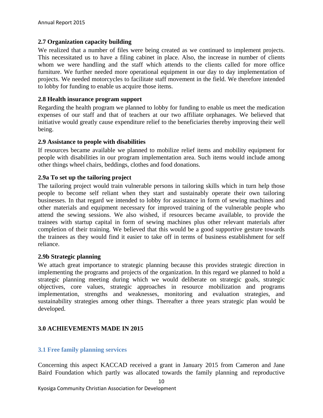#### **2.7 Organization capacity building**

We realized that a number of files were being created as we continued to implement projects. This necessitated us to have a filing cabinet in place. Also, the increase in number of clients whom we were handling and the staff which attends to the clients called for more office furniture. We further needed more operational equipment in our day to day implementation of projects. We needed motorcycles to facilitate staff movement in the field. We therefore intended to lobby for funding to enable us acquire those items.

#### **2.8 Health insurance program support**

Regarding the health program we planned to lobby for funding to enable us meet the medication expenses of our staff and that of teachers at our two affiliate orphanages. We believed that initiative would greatly cause expenditure relief to the beneficiaries thereby improving their well being.

#### **2.9 Assistance to people with disabilities**

If resources became available we planned to mobilize relief items and mobility equipment for people with disabilities in our program implementation area. Such items would include among other things wheel chairs, beddings, clothes and food donations.

#### **2.9a To set up the tailoring project**

The tailoring project would train vulnerable persons in tailoring skills which in turn help those people to become self reliant when they start and sustainably operate their own tailoring businesses. In that regard we intended to lobby for assistance in form of sewing machines and other materials and equipment necessary for improved training of the vulnerable people who attend the sewing sessions. We also wished, if resources became available, to provide the trainees with startup capital in form of sewing machines plus other relevant materials after completion of their training. We believed that this would be a good supportive gesture towards the trainees as they would find it easier to take off in terms of business establishment for self reliance.

#### **2.9b Strategic planning**

We attach great importance to strategic planning because this provides strategic direction in implementing the programs and projects of the organization. In this regard we planned to hold a strategic planning meeting during which we would deliberate on strategic goals, strategic objectives, core values, strategic approaches in resource mobilization and programs implementation, strengths and weaknesses, monitoring and evaluation strategies, and sustainability strategies among other things. Thereafter a three years strategic plan would be developed.

#### **3.0 ACHIEVEMENTS MADE IN 2015**

#### **3.1 Free family planning services**

Concerning this aspect KACCAD received a grant in January 2015 from Cameron and Jane Baird Foundation which partly was allocated towards the family planning and reproductive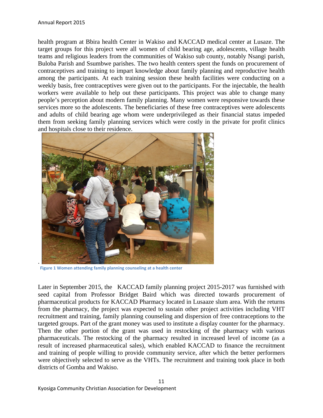health program at Bbira health Center in Wakiso and KACCAD medical center at Lusaze. The target groups for this project were all women of child bearing age, adolescents, village health teams and religious leaders from the communities of Wakiso sub county, notably Nsangi parish, Buloba Parish and Ssumbwe parishes. The two health centers spent the funds on procurement of contraceptives and training to impart knowledge about family planning and reproductive health among the participants. At each training session these health facilities were conducting on a weekly basis, free contraceptives were given out to the participants. For the injectable, the health workers were available to help out these participants. This project was able to change many people's perception about modern family planning. Many women were responsive towards these services more so the adolescents. The beneficiaries of these free contraceptives were adolescents and adults of child bearing age whom were underprivileged as their financial status impeded them from seeking family planning services which were costly in the private for profit clinics and hospitals close to their residence.



 **Figure 1 Women attending family planning counseling at a health center**

Later in September 2015, the KACCAD family planning project 2015-2017 was furnished with seed capital from Professor Bridget Baird which was directed towards procurement of pharmaceutical products for KACCAD Pharmacy located in Lusaaze slum area. With the returns from the pharmacy, the project was expected to sustain other project activities including VHT recruitment and training, family planning counseling and dispersion of free contraceptions to the targeted groups. Part of the grant money was used to institute a display counter for the pharmacy. Then the other portion of the grant was used in restocking of the pharmacy with various pharmaceuticals. The restocking of the pharmacy resulted in increased level of income (as a result of increased pharmaceutical sales), which enabled KACCAD to finance the recruitment and training of people willing to provide community service, after which the better performers were objectively selected to serve as the VHTs. The recruitment and training took place in both districts of Gomba and Wakiso.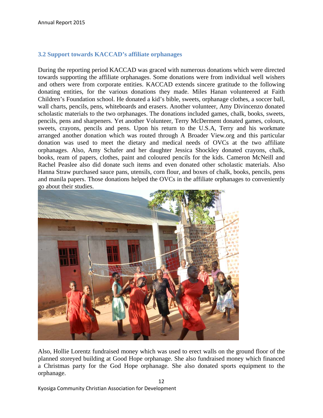#### **3.2 Support towards KACCAD's affiliate orphanages**

During the reporting period KACCAD was graced with numerous donations which were directed towards supporting the affiliate orphanages. Some donations were from individual well wishers and others were from corporate entities. KACCAD extends sincere gratitude to the following donating entities, for the various donations they made. Miles Hanan volunteered at Faith Children's Foundation school. He donated a kid's bible, sweets, orphanage clothes, a soccer ball, wall charts, pencils, pens, whiteboards and erasers. Another volunteer, Amy Divincenzo donated scholastic materials to the two orphanages. The donations included games, chalk, books, sweets, pencils, pens and sharpeners. Yet another Volunteer, Terry McDerment donated games, colours, sweets, crayons, pencils and pens. Upon his return to the U.S.A, Terry and his workmate arranged another donation which was routed through A Broader View.org and this particular donation was used to meet the dietary and medical needs of OVCs at the two affiliate orphanages. Also, Amy Schafer and her daughter Jessica Shockley donated crayons, chalk, books, ream of papers, clothes, paint and coloured pencils for the kids. Cameron McNeill and Rachel Peaslee also did donate such items and even donated other scholastic materials. Also Hanna Straw purchased sauce pans, utensils, corn flour, and boxes of chalk, books, pencils, pens and manila papers. Those donations helped the OVCs in the affiliate orphanages to conveniently go about their studies.



Also, Hollie Lorentz fundraised money which was used to erect walls on the ground floor of the planned storeyed building at Good Hope orphanage. She also fundraised money which financed a Christmas party for the God Hope orphanage. She also donated sports equipment to the orphanage.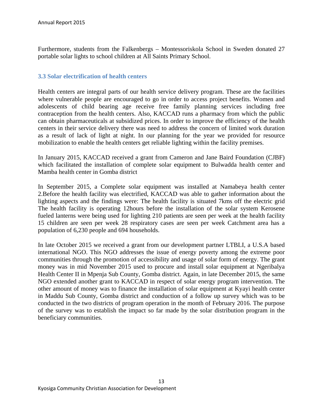Furthermore, students from the Falkenbergs – Montessoriskola School in Sweden donated 27 portable solar lights to school children at All Saints Primary School.

#### **3.3 Solar electrification of health centers**

Health centers are integral parts of our health service delivery program. These are the facilities where vulnerable people are encouraged to go in order to access project benefits. Women and adolescents of child bearing age receive free family planning services including free contraception from the health centers. Also, KACCAD runs a pharmacy from which the public can obtain pharmaceuticals at subsidized prices. In order to improve the efficiency of the health centers in their service delivery there was need to address the concern of limited work duration as a result of lack of light at night. In our planning for the year we provided for resource mobilization to enable the health centers get reliable lighting within the facility premises.

In January 2015, KACCAD received a grant from Cameron and Jane Baird Foundation (CJBF) which facilitated the installation of complete solar equipment to Bulwadda health center and Mamba health center in Gomba district

In September 2015, a Complete solar equipment was installed at Namabeya health center 2.Before the health facility was electrified, KACCAD was able to gather information about the lighting aspects and the findings were: The health facility is situated 7kms off the electric grid The health facility is operating 12hours before the installation of the solar system Kerosene fueled lanterns were being used for lighting 210 patients are seen per week at the health facility 15 children are seen per week 28 respiratory cases are seen per week Catchment area has a population of 6,230 people and 694 households.

In late October 2015 we received a grant from our development partner LTBLI, a U.S.A based international NGO. This NGO addresses the issue of energy poverty among the extreme poor communities through the promotion of accessibility and usage of solar form of energy. The grant money was in mid November 2015 used to procure and install solar equipment at Ngeribalya Health Center II in Mpenja Sub County, Gomba district. Again, in late December 2015, the same NGO extended another grant to KACCAD in respect of solar energy program intervention. The other amount of money was to finance the installation of solar equipment at Kyayi health center in Maddu Sub County, Gomba district and conduction of a follow up survey which was to be conducted in the two districts of program operation in the month of February 2016. The purpose of the survey was to establish the impact so far made by the solar distribution program in the beneficiary communities.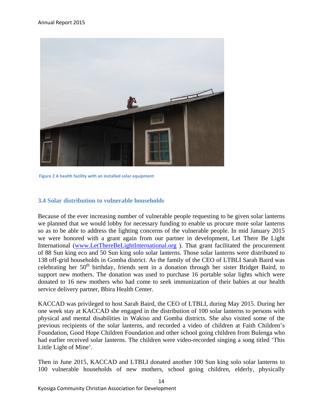

**Figure 2 A health facility with an installed solar equipment**

#### **3.4 Solar distribution to vulnerable households**

Because of the ever increasing number of vulnerable people requesting to be given solar lanterns we planned that we would lobby for necessary funding to enable us procure more solar lanterns so as to be able to address the lighting concerns of the vulnerable people. In mid January 2015 we were honored with a grant again from our partner in development, Let There Be Light International (www.LetThereBeLightInternational.org ). That grant facilitated the procurement of 88 Sun king eco and 50 Sun king solo solar lanterns. Those solar lanterns were distributed to 138 off-grid households in Gomba district. As the family of the CEO of LTBLI Sarah Baird was celebrating her  $50<sup>th</sup>$  birthday, friends sent in a donation through her sister Bridget Baird, to support new mothers. The donation was used to purchase 16 portable solar lights which were donated to 16 new mothers who had come to seek immunization of their babies at our health service delivery partner, Bbira Health Center.

KACCAD was privileged to host Sarah Baird, the CEO of LTBLI, during May 2015. During her one week stay at KACCAD she engaged in the distribution of 100 solar lanterns to persons with physical and mental disabilities in Wakiso and Gomba districts. She also visited some of the previous recipients of the solar lanterns, and recorded a video of children at Faith Children's Foundation, Good Hope Children Foundation and other school going children from Bulenga who had earlier received solar lanterns. The children were video-recorded singing a song titled 'This Little Light of Mine'.

Then in June 2015, KACCAD and LTBLI donated another 100 Sun king solo solar lanterns to 100 vulnerable households of new mothers, school going children, elderly, physically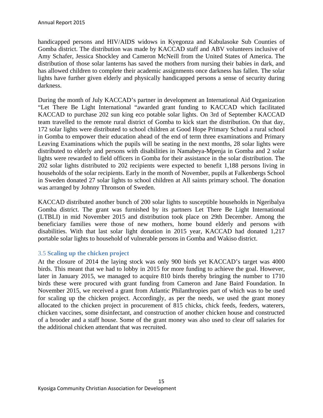handicapped persons and HIV/AIDS widows in Kyegonza and Kabulasoke Sub Counties of Gomba district. The distribution was made by KACCAD staff and ABV volunteers inclusive of Amy Schafer, Jessica Shockley and Cameron McNeill from the United States of America. The distribution of those solar lanterns has saved the mothers from nursing their babies in dark, and has allowed children to complete their academic assignments once darkness has fallen. The solar lights have further given elderly and physically handicapped persons a sense of security during darkness.

During the month of July KACCAD's partner in development an International Aid Organization "Let There Be Light International "awarded grant funding to KACCAD which facilitated KACCAD to purchase 202 sun king eco potable solar lights. On 3rd of September KACCAD team travelled to the remote rural district of Gomba to kick start the distribution. On that day, 172 solar lights were distributed to school children at Good Hope Primary School a rural school in Gomba to empower their education ahead of the end of term three examinations and Primary Leaving Examinations which the pupils will be seating in the next months, 28 solar lights were distributed to elderly and persons with disabilities in Namabeya-Mpenja in Gomba and 2 solar lights were rewarded to field officers in Gomba for their assistance in the solar distribution. The 202 solar lights distributed to 202 recipients were expected to benefit 1,188 persons living in households of the solar recipients. Early in the month of November, pupils at Falkenbergs School in Sweden donated 27 solar lights to school children at All saints primary school. The donation was arranged by Johnny Thronson of Sweden.

KACCAD distributed another bunch of 200 solar lights to susceptible households in Ngeribalya Gomba district. The grant was furnished by its partners Let There Be Light International (LTBLI) in mid November 2015 and distribution took place on 29th December. Among the beneficiary families were those of new mothers, home bound elderly and persons with disabilities. With that last solar light donation in 2015 year, KACCAD had donated 1,217 portable solar lights to household of vulnerable persons in Gomba and Wakiso district.

#### 3.5 **Scaling up the chicken project**

At the closure of 2014 the laying stock was only 900 birds yet KACCAD's target was 4000 birds. This meant that we had to lobby in 2015 for more funding to achieve the goal. However, later in January 2015, we managed to acquire 810 birds thereby bringing the number to 1710 birds these were procured with grant funding from Cameron and Jane Baird Foundation. In November 2015, we received a grant from Atlantic Philanthropies part of which was to be used for scaling up the chicken project. Accordingly, as per the needs, we used the grant money allocated to the chicken project in procurement of 815 chicks, chick feeds, feeders, waterers, chicken vaccines, some disinfectant, and construction of another chicken house and constructed of a brooder and a staff house. Some of the grant money was also used to clear off salaries for the additional chicken attendant that was recruited.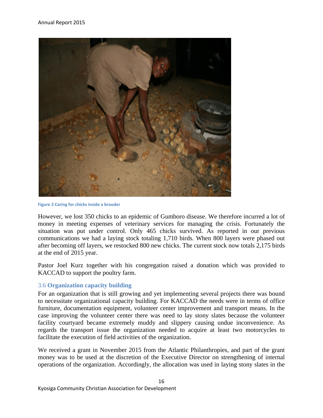

**Figure 3 Caring for chicks inside a brooder**

However, we lost 350 chicks to an epidemic of Gumboro disease. We therefore incurred a lot of money in meeting expenses of veterinary services for managing the crisis. Fortunately the situation was put under control. Only 465 chicks survived. As reported in our previous communications we had a laying stock totaling 1,710 birds. When 800 layers were phased out after becoming off layers, we restocked 800 new chicks. The current stock now totals 2,175 birds at the end of 2015 year.

Pastor Joel Kurz together with his congregation raised a donation which was provided to KACCAD to support the poultry farm.

#### 3.6 **Organization capacity building**

For an organization that is still growing and yet implementing several projects there was bound to necessitate organizational capacity building. For KACCAD the needs were in terms of office furniture, documentation equipment, volunteer center improvement and transport means. In the case improving the volunteer center there was need to lay stony slates because the volunteer facility courtyard became extremely muddy and slippery causing undue inconvenience. As regards the transport issue the organization needed to acquire at least two motorcycles to facilitate the execution of field activities of the organization.

We received a grant in November 2015 from the Atlantic Philanthropies, and part of the grant money was to be used at the discretion of the Executive Director on strengthening of internal operations of the organization. Accordingly, the allocation was used in laying stony slates in the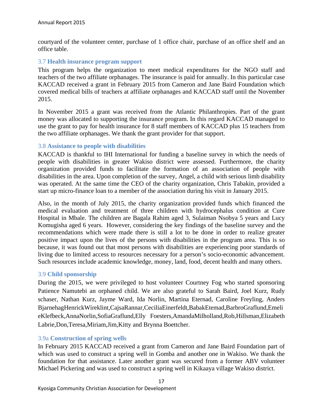courtyard of the volunteer center, purchase of 1 office chair, purchase of an office shelf and an office table.

#### 3.7 **Health insurance program support**

This program helps the organization to meet medical expenditures for the NGO staff and teachers of the two affiliate orphanages. The insurance is paid for annually. In this particular case KACCAD received a grant in February 2015 from Cameron and Jane Baird Foundation which covered medical bills of teachers at affiliate orphanages and KACCAD staff until the November 2015.

In November 2015 a grant was received from the Atlantic Philanthropies. Part of the grant money was allocated to supporting the insurance program. In this regard KACCAD managed to use the grant to pay for health insurance for 8 staff members of KACCAD plus 15 teachers from the two affiliate orphanages. We thank the grant provider for that support.

#### 3.8 **Assistance to people with disabilities**

KACCAD is thankful to IHI International for funding a baseline survey in which the needs of people with disabilities in greater Wakiso district were assessed. Furthermore, the charity organization provided funds to facilitate the formation of an association of people with disabilities in the area. Upon completion of the survey, Angel, a child with serious limb disability was operated. At the same time the CEO of the charity organization, Chris Tabakin, provided a start up micro-finance loan to a member of the association during his visit in January 2015.

Also, in the month of July 2015, the charity organization provided funds which financed the medical evaluation and treatment of three children with hydrocephalus condition at Cure Hospital in Mbale. The children are Bagala Rahim aged 3, Sulaiman Nsobya 5 years and Lucy Komugisha aged 6 years. However, considering the key findings of the baseline survey and the recommendations which were made there is still a lot to be done in order to realize greater positive impact upon the lives of the persons with disabilities in the program area. This is so because, it was found out that most persons with disabilities are experiencing poor standards of living due to limited access to resources necessary for a person's socio-economic advancement. Such resources include academic knowledge, money, land, food, decent health and many others.

#### 3.9 **Child sponsorship**

During the 2015, we were privileged to host volunteer Courtney Fog who started sponsoring Patience Namutebi an orphaned child. We are also grateful to Sarah Baird, Joel Kurz, Rudy schaser, Nathan Kurz, Jayme Ward, Ida Norlin, Martina Eternad, Caroline Freyling, Anders BjarnehagHenrickWireklint,CajsaRannar,CeciliaEinerfeldt,BabakEtemad,BarbroGraflund,Emeli eKlefbeck,AnnaNorlin,SofiaGraflund,Elly Foesters,AmandaMilholland,Rob,Hillsman,Elizabeth Labrie,Don,Teresa,Miriam,Jim,Kitty and Brynna Boettcher.

#### 3.9a **Construction of spring wells**

In February 2015 KACCAD received a grant from Cameron and Jane Baird Foundation part of which was used to construct a spring well in Gomba and another one in Wakiso. We thank the foundation for that assistance. Later another grant was secured from a former ABV volunteer Michael Pickering and was used to construct a spring well in Kikaaya village Wakiso district.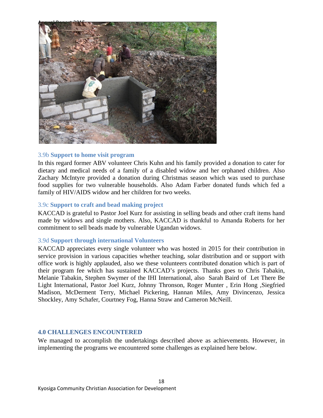

#### 3.9b **Support to home visit program**

In this regard former ABV volunteer Chris Kuhn and his family provided a donation to cater for dietary and medical needs of a family of a disabled widow and her orphaned children. Also Zachary McIntyre provided a donation during Christmas season which was used to purchase food supplies for two vulnerable households. Also Adam Farber donated funds which fed a family of HIV/AIDS widow and her children for two weeks.

#### 3.9c **Support to craft and bead making project**

KACCAD is grateful to Pastor Joel Kurz for assisting in selling beads and other craft items hand made by widows and single mothers. Also, KACCAD is thankful to Amanda Roberts for her commitment to sell beads made by vulnerable Ugandan widows.

#### 3.9d **Support through international Volunteers**

KACCAD appreciates every single volunteer who was hosted in 2015 for their contribution in service provision in various capacities whether teaching, solar distribution and or support with office work is highly applauded, also we these volunteers contributed donation which is part of their program fee which has sustained KACCAD's projects. Thanks goes to Chris Tabakin, Melanie Tabakin, Stephen Swymer of the IHI International, also Sarah Baird of Let There Be Light International, Pastor Joel Kurz, Johnny Thronson, Roger Munter , Erin Hong ,Siegfried Madison, McDerment Terry, Michael Pickering, Hannan Miles, Amy Divincenzo, Jessica Shockley, Amy Schafer, Courtney Fog, Hanna Straw and Cameron McNeill.

#### **4.0 CHALLENGES ENCOUNTERED**

We managed to accomplish the undertakings described above as achievements. However, in implementing the programs we encountered some challenges as explained here below.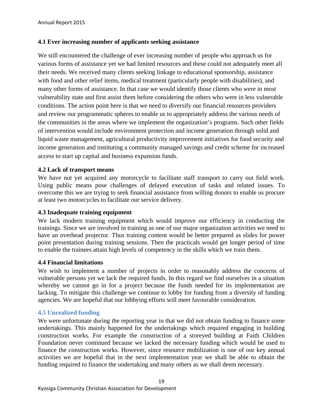#### **4.1 Ever increasing number of applicants seeking assistance**

We still encountered the challenge of ever increasing number of people who approach us for various forms of assistance yet we had limited resources and these could not adequately meet all their needs. We received many clients seeking linkage to educational sponsorship, assistance with food and other relief items, medical treatment (particularly people with disabilities), and many other forms of assistance. In that case we would identify those clients who were in most vulnerability state and first assist them before considering the others who were in less vulnerable conditions. The action point here is that we need to diversify our financial resources providers and review our programmatic spheres to enable us to appropriately address the various needs of the communities in the areas where we implement the organization's programs. Such other fields of intervention would include environment protection and income generation through solid and liquid waste management, agricultural productivity improvement initiatives for food security and income generation and instituting a community managed savings and credit scheme for increased access to start up capital and business expansion funds.

#### **4.2 Lack of transport means**

We have not yet acquired any motorcycle to facilitate staff transport to carry out field work. Using public means pose challenges of delayed execution of tasks and related issues. To overcome this we are trying to seek financial assistance from willing donors to enable us procure at least two motorcycles to facilitate our service delivery.

#### **4.3 Inadequate training equipment**

We lack modern training equipment which would improve our efficiency in conducting the trainings. Since we are involved in training as one of our major organization activities we need to have an overhead projector. Thus training content would be better prepared as slides for power point presentation during training sessions. Then the practicals would get longer period of time to enable the trainees attain high levels of competency in the skills which we train them.

#### **4.4 Financial limitations**

We wish to implement a number of projects in order to reasonably address the concerns of vulnerable persons yet we lack the required funds. In this regard we find ourselves in a situation whereby we cannot go in for a project because the funds needed for its implementation are lacking. To mitigate this challenge we continue to lobby for funding from a diversity of funding agencies. We are hopeful that our lobbying efforts will meet favourable consideration.

#### **4.5 Unrealized funding**

We were unfortunate during the reporting year in that we did not obtain funding to finance some undertakings. This mainly happened for the undertakings which required engaging in building construction works. For example the construction of a storeyed building at Faith Children Foundation never continued because we lacked the necessary funding which would be used to finance the construction works. However, since resource mobilization is one of our key annual activities we are hopeful that in the next implementation year we shall be able to obtain the funding required to finance the undertaking and many others as we shall deem necessary.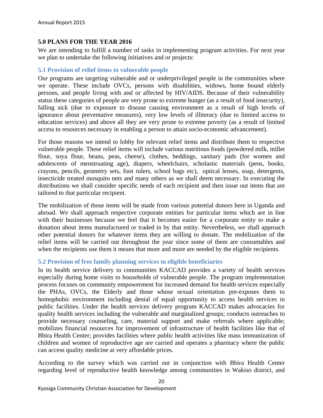#### **5.0 PLANS FOR THE YEAR 2016**

We are intending to fulfill a number of tasks in implementing program activities. For next year we plan to undertake the following initiatives and or projects:

#### **5.1 Provision of relief items to vulnerable people**

Our programs are targeting vulnerable and or underprivileged people in the communities where we operate. These include OVCs, persons with disabilities, widows, home bound elderly persons, and people living with and or affected by HIV/AIDS. Because of their vulnerability status these categories of people are very prone to extreme hunger (as a result of food insecurity), falling sick (due to exposure to disease causing environment as a result of high levels of ignorance about preventative measures), very low levels of illiteracy (due to limited access to education services) and above all they are very prone to extreme poverty (as a result of limited access to resources necessary in enabling a person to attain socio-economic advancement).

For those reasons we intend to lobby for relevant relief items and distribute them to respective vulnerable people. These relief items will include various nutritious foods (powdered milk, millet flour, soya flour, beans, peas, cheese), clothes, beddings, sanitary pads (for women and adolescents of menstruating age), diapers, wheelchairs, scholastic materials (pens, books, crayons, pencils, geometry sets, foot rulers, school bags etc), optical lenses, soap, detergents, insecticide treated mosquito nets and many others as we shall deem necessary. In executing the distributions we shall consider specific needs of each recipient and then issue out items that are tailored to that particular recipient.

The mobilization of those items will be made from various potential donors here in Uganda and abroad. We shall approach respective corporate entities for particular items which are in line with their businesses because we feel that it becomes easier for a corporate entity to make a donation about items manufactured or traded in by that entity. Nevertheless, we shall approach other potential donors for whatever items they are willing to donate. The mobilization of the relief items will be carried out throughout the year since some of them are consumables and when the recipients use them it means that more and more are needed by the eligible recipients.

#### **5.2 Provision of free family planning services to eligible beneficiaries**

In its health service delivery to communities KACCAD provides a variety of health services especially during home visits to households of vulnerable people. The program implementation process focuses on community empowerment for increased demand for health services especially the PHAs, OVCs, the Elderly and those whose sexual orientation pre-exposes them to homophobic environment including denial of equal opportunity to access health services in public facilities. Under the health services delivery program KACCAD makes advocacies for quality health services including the vulnerable and marginalized groups; conducts outreaches to provide necessary counseling, care, material support and make referrals where applicable; mobilizes financial resources for improvement of infrastructure of health facilities like that of Bbira Health Center; provides facilities where public health activities like mass immunization of children and women of reproductive age are carried and operates a pharmacy where the public can access quality medicine at very affordable prices.

According to the survey which was carried out in conjunction with Bbira Health Center regarding level of reproductive health knowledge among communities in Wakiso district, and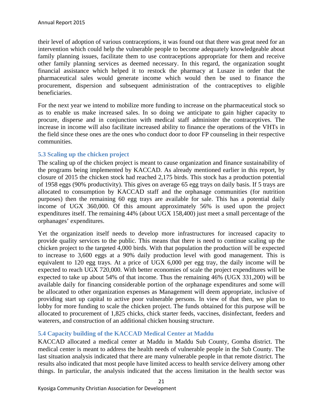their level of adoption of various contraceptions, it was found out that there was great need for an intervention which could help the vulnerable people to become adequately knowledgeable about family planning issues, facilitate them to use contraceptions appropriate for them and receive other family planning services as deemed necessary. In this regard, the organization sought financial assistance which helped it to restock the pharmacy at Lusaze in order that the pharmaceutical sales would generate income which would then be used to finance the procurement, dispersion and subsequent administration of the contraceptives to eligible beneficiaries.

For the next year we intend to mobilize more funding to increase on the pharmaceutical stock so as to enable us make increased sales. In so doing we anticipate to gain higher capacity to procure, disperse and in conjunction with medical staff administer the contraceptives. The increase in income will also facilitate increased ability to finance the operations of the VHTs in the field since these ones are the ones who conduct door to door FP counseling in their respective communities.

#### **5.3 Scaling up the chicken project**

The scaling up of the chicken project is meant to cause organization and finance sustainability of the programs being implemented by KACCAD. As already mentioned earlier in this report, by closure of 2015 the chicken stock had reached 2,175 birds. This stock has a production potential of 1958 eggs (90% productivity). This gives on average 65 egg trays on daily basis. If 5 trays are allocated to consumption by KACCAD staff and the orphanage communities (for nutrition purposes) then the remaining 60 egg trays are available for sale. This has a potential daily income of UGX 360,000. Of this amount approximately 56% is used upon the project expenditures itself. The remaining 44% (about UGX 158,400) just meet a small percentage of the orphanages' expenditures.

Yet the organization itself needs to develop more infrastructures for increased capacity to provide quality services to the public. This means that there is need to continue scaling up the chicken project to the targeted 4,000 birds. With that population the production will be expected to increase to 3,600 eggs at a 90% daily production level with good management. This is equivalent to 120 egg trays. At a price of UGX 6,000 per egg tray, the daily income will be expected to reach UGX 720,000. With better economies of scale the project expenditures will be expected to take up about 54% of that income. Thus the remaining 46% (UGX 331,200) will be available daily for financing considerable portion of the orphanage expenditures and some will be allocated to other organization expenses as Management will deem appropriate, inclusive of providing start up capital to active poor vulnerable persons. In view of that then, we plan to lobby for more funding to scale the chicken project. The funds obtained for this purpose will be allocated to procurement of 1,825 chicks, chick starter feeds, vaccines, disinfectant, feeders and waterers, and construction of an additional chicken housing structure.

#### **5.4 Capacity building of the KACCAD Medical Center at Maddu**

KACCAD allocated a medical center at Maddu in Maddu Sub County, Gomba district. The medical center is meant to address the health needs of vulnerable people in the Sub County. The last situation analysis indicated that there are many vulnerable people in that remote district. The results also indicated that most people have limited access to health service delivery among other things. In particular, the analysis indicated that the access limitation in the health sector was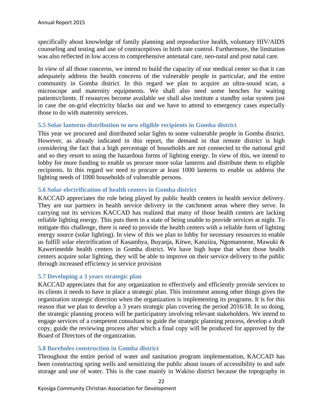specifically about knowledge of family planning and reproductive health, voluntary HIV/AIDS counseling and testing and use of contraceptives in birth rate control. Furthermore, the limitation was also reflected in low access to comprehensive antenatal care, neo-natal and post natal care.

In view of all those concerns, we intend to build the capacity of our medical center so that it can adequately address the health concerns of the vulnerable people in particular, and the entire community in Gomba district. In this regard we plan to acquire an ultra-sound scan, a microscope and maternity equipments. We shall also need some benches for waiting patients/clients. If resources become available we shall also institute a standby solar system just in case the on-grid electricity blacks out and we have to attend to emergency cases especially those to do with maternity services.

#### **5.5 Solar lanterns distribution to new eligible recipients in Gomba district**

This year we procured and distributed solar lights to some vulnerable people in Gomba district. However, as already indicated in this report, the demand in that remote district is high considering the fact that a high percentage of households are not connected to the national grid and so they resort to using the hazardous forms of lighting energy. In view of this, we intend to lobby for more funding to enable us procure more solar lanterns and distribute them to eligible recipients. In this regard we need to procure at least 1000 lanterns to enable us address the lighting needs of 1000 households of vulnerable persons.

#### **5.6 Solar electrification of health centers in Gomba district**

KACCAD appreciates the role being played by public health centers in health service delivery. They are our partners in health service delivery in the catchment areas where they serve. In carrying out its services KACCAD has realized that many of those health centers are lacking reliable lighting energy. This puts them in a state of being unable to provide services at night. To mitigate this challenge, there is need to provide the health centers with a reliable form of lighting energy source (solar lighting). In view of this we plan to lobby for necessary resources to enable us fulfill solar electrification of Kasambya, Buyanja, Kitwe, Kanziira, Ngomannene, Mawuki & Kawerimedde health centers in Gomba district. We have high hope that when those health centers acquire solar lighting, they will be able to improve on their service delivery to the public through increased efficiency in service provision

#### **5.7 Developing a 3 years strategic plan**

KACCAD appreciates that for any organization to effectively and efficiently provide services to its clients it needs to have in place a strategic plan. This instrument among other things gives the organization strategic direction when the organization is implementing its programs. It is for this reason that we plan to develop a 3 years strategic plan covering the period 2016/18. In so doing, the strategic planning process will be participatory involving relevant stakeholders. We intend to engage services of a competent consultant to guide the strategic planning process, develop a draft copy, guide the reviewing process after which a final copy will be produced for approved by the Board of Directors of the organization.

#### **5.8 Boreholes construction in Gomba district**

Throughout the entire period of water and sanitation program implementation, KACCAD has been constructing spring wells and sensitizing the public about issues of accessibility to and safe storage and use of water. This is the case mainly in Wakiso district because the topography in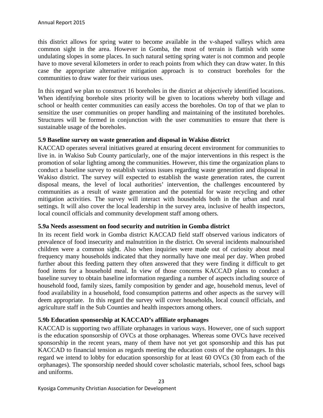this district allows for spring water to become available in the v-shaped valleys which area common sight in the area. However in Gomba, the most of terrain is flattish with some undulating slopes in some places. In such natural setting spring water is not common and people have to move several kilometers in order to reach points from which they can draw water. In this case the appropriate alternative mitigation approach is to construct boreholes for the communities to draw water for their various uses.

In this regard we plan to construct 16 boreholes in the district at objectively identified locations. When identifying borehole sites priority will be given to locations whereby both village and school or health center communities can easily access the boreholes. On top of that we plan to sensitize the user communities on proper handling and maintaining of the instituted boreholes. Structures will be formed in conjunction with the user communities to ensure that there is sustainable usage of the boreholes.

#### **5.9 Baseline survey on waste generation and disposal in Wakiso district**

KACCAD operates several initiatives geared at ensuring decent environment for communities to live in. in Wakiso Sub County particularly, one of the major interventions in this respect is the promotion of solar lighting among the communities. However, this time the organization plans to conduct a baseline survey to establish various issues regarding waste generation and disposal in Wakiso district. The survey will expected to establish the waste generation rates, the current disposal means, the level of local authorities' intervention, the challenges encountered by communities as a result of waste generation and the potential for waste recycling and other mitigation activities. The survey will interact with households both in the urban and rural settings. It will also cover the local leadership in the survey area, inclusive of health inspectors, local council officials and community development staff among others.

#### **5.9a Needs assessment on food security and nutrition in Gomba district**

In its recent field work in Gomba district KACCAD field staff observed various indicators of prevalence of food insecurity and malnutrition in the district. On several incidents malnourished children were a common sight. Also when inquiries were made out of curiosity about meal frequency many households indicated that they normally have one meal per day. When probed further about this feeding pattern they often answered that they were finding it difficult to get food items for a household meal. In view of those concerns KACCAD plans to conduct a baseline survey to obtain baseline information regarding a number of aspects including source of household food, family sizes, family composition by gender and age, household menus, level of food availability in a household, food consumption patterns and other aspects as the survey will deem appropriate. In this regard the survey will cover households, local council officials, and agriculture staff in the Sub Counties and health inspectors among others.

#### **5.9b Education sponsorship at KACCAD's affiliate orphanages**

KACCAD is supporting two affiliate orphanages in various ways. However, one of such support is the education sponsorship of OVCs at those orphanages. Whereas some OVCs have received sponsorship in the recent years, many of them have not yet got sponsorship and this has put KACCAD to financial tension as regards meeting the education costs of the orphanages. In this regard we intend to lobby for education sponsorship for at least 60 OVCs (30 from each of the orphanages). The sponsorship needed should cover scholastic materials, school fees, school bags and uniforms.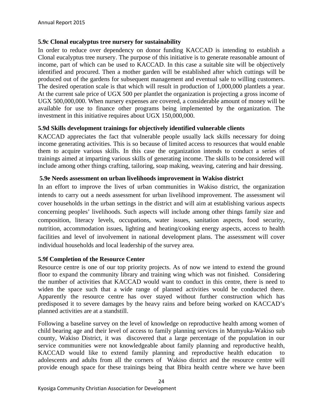#### **5.9c Clonal eucalyptus tree nursery for sustainability**

In order to reduce over dependency on donor funding KACCAD is intending to establish a Clonal eucalyptus tree nursery. The purpose of this initiative is to generate reasonable amount of income, part of which can be used to KACCAD. In this case a suitable site will be objectively identified and procured. Then a mother garden will be established after which cuttings will be produced out of the gardens for subsequent management and eventual sale to willing customers. The desired operation scale is that which will result in production of 1,000,000 plantlets a year. At the current sale price of UGX 500 per plantlet the organization is projecting a gross income of UGX 500,000,000. When nursery expenses are covered, a considerable amount of money will be available for use to finance other programs being implemented by the organization. The investment in this initiative requires about UGX 150,000,000.

#### **5.9d Skills development trainings for objectively identified vulnerable clients**

KACCAD appreciates the fact that vulnerable people usually lack skills necessary for doing income generating activities. This is so because of limited access to resources that would enable them to acquire various skills. In this case the organization intends to conduct a series of trainings aimed at imparting various skills of generating income. The skills to be considered will include among other things crafting, tailoring, soap making, weaving, catering and hair dressing.

#### **5.9e Needs assessment on urban livelihoods improvement in Wakiso district**

In an effort to improve the lives of urban communities in Wakiso district, the organization intends to carry out a needs assessment for urban livelihood improvement. The assessment wil cover households in the urban settings in the district and will aim at establishing various aspects concerning peoples' livelihoods. Such aspects will include among other things family size and composition, literacy levels, occupations, water issues, sanitation aspects, food security, nutrition, accommodation issues, lighting and heating/cooking energy aspects, access to health facilities and level of involvement in national development plans. The assessment will cover individual households and local leadership of the survey area.

#### **5.9f Completion of the Resource Center**

Resource centre is one of our top priority projects. As of now we intend to extend the ground floor to expand the community library and training wing which was not finished. Considering the number of activities that KACCAD would want to conduct in this centre, there is need to widen the space such that a wide range of planned activities would be conducted there. Apparently the resource centre has over stayed without further construction which has predisposed it to severe damages by the heavy rains and before being worked on KACCAD's planned activities are at a standstill.

Following a baseline survey on the level of knowledge on reproductive health among women of child bearing age and their level of access to family planning services in Mumyuka-Wakiso sub county, Wakiso District, it was discovered that a large percentage of the population in our service communities were not knowledgeable about family planning and reproductive health, KACCAD would like to extend family planning and reproductive health education adolescents and adults from all the corners of Wakiso district and the resource centre will provide enough space for these trainings being that Bbira health centre where we have been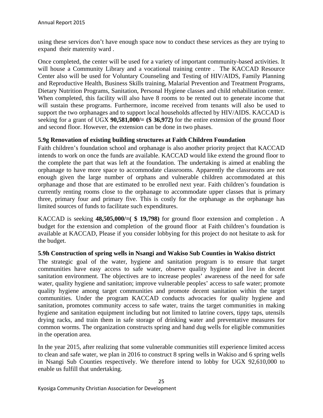using these services don't have enough space now to conduct these services as they are trying to expand their maternity ward .

Once completed, the center will be used for a variety of important community-based activities. It will house a Community Library and a vocational training centre. The KACCAD Resource Center also will be used for Voluntary Counseling and Testing of HIV/AIDS, Family Planning and Reproductive Health, Business Skills training, Malarial Prevention and Treatment Programs, Dietary Nutrition Programs, Sanitation, Personal Hygiene classes and child rehabilitation center. When completed, this facility will also have 8 rooms to be rented out to generate income that will sustain these programs. Furthermore, income received from tenants will also be used to support the two orphanages and to support local households affected by HIV/AIDS. KACCAD is seeking for a grant of UGX **90,581,000/= (\$ 36,972)** for the entire extension of the ground floor and second floor. However, the extension can be done in two phases.

#### **5.9g Renovation of existing building structures at Faith Children Foundation**

Faith children's foundation school and orphanage is also another priority project that KACCAD intends to work on once the funds are available. KACCAD would like extend the ground floor to the complete the part that was left at the foundation. The undertaking is aimed at enabling the orphanage to have more space to accommodate classrooms. Apparently the classrooms are not enough given the large number of orphans and vulnerable children accommodated at this orphanage and those that are estimated to be enrolled next year. Faith children's foundation is currently renting rooms close to the orphanage to accommodate upper classes that is primary three, primary four and primary five. This is costly for the orphanage as the orphanage has limited sources of funds to facilitate such expenditures.

KACCAD is seeking  $48,505,000/=($  \$ 19,798) for ground floor extension and completion. A budget for the extension and completion of the ground floor at Faith children's foundation is available at KACCAD, Please if you consider lobbying for this project do not hesitate to ask for the budget.

#### **5.9h Construction of spring wells in Nsangi and Wakiso Sub Counties in Wakiso district**

The strategic goal of the water, hygiene and sanitation program is to ensure that target communities have easy access to safe water, observe quality hygiene and live in decent sanitation environment. The objectives are to increase peoples' awareness of the need for safe water, quality hygiene and sanitation; improve vulnerable peoples' access to safe water; promote quality hygiene among target communities and promote decent sanitation within the target communities. Under the program KACCAD conducts advocacies for quality hygiene and sanitation, promotes community access to safe water, trains the target communities in making hygiene and sanitation equipment including but not limited to latrine covers, tippy taps, utensils drying racks, and train them in safe storage of drinking water and preventative measures for common worms. The organization constructs spring and hand dug wells for eligible communities in the operation area.

In the year 2015, after realizing that some vulnerable communities still experience limited access to clean and safe water, we plan in 2016 to construct 8 spring wells in Wakiso and 6 spring wells in Nsangi Sub Counties respectively. We therefore intend to lobby for UGX 92,610,000 to enable us fulfill that undertaking.